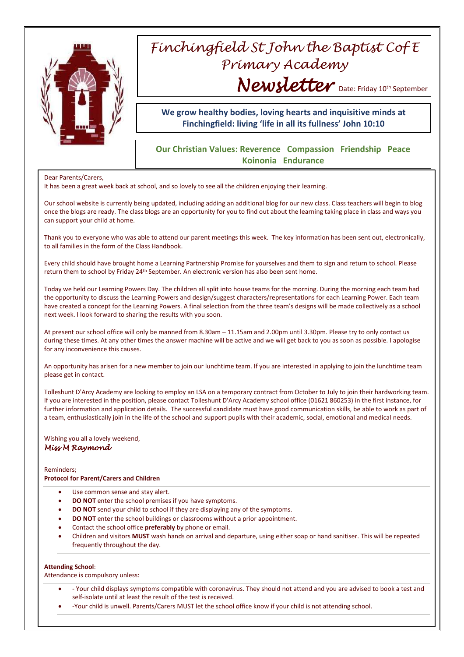

# *Finchingfield St John the Baptist Cof E Primary Academy* Newsletter Date: Friday 10<sup>th</sup> September

# **We grow healthy bodies, loving hearts and inquisitive minds at Finchingfield: living 'life in all its fullness' John 10:10**

# **Our Christian Values: Reverence Compassion Friendship Peace Koinonia Endurance**

## Dear Parents/Carers,

It has been a great week back at school, and so lovely to see all the children enjoying their learning.

Our school website is currently being updated, including adding an additional blog for our new class. Class teachers will begin to blog once the blogs are ready. The class blogs are an opportunity for you to find out about the learning taking place in class and ways you can support your child at home.

Thank you to everyone who was able to attend our parent meetings this week. The key information has been sent out, electronically, to all families in the form of the Class Handbook.

Every child should have brought home a Learning Partnership Promise for yourselves and them to sign and return to school. Please return them to school by Friday 24th September. An electronic version has also been sent home.

Today we held our Learning Powers Day. The children all split into house teams for the morning. During the morning each team had the opportunity to discuss the Learning Powers and design/suggest characters/representations for each Learning Power. Each team have created a concept for the Learning Powers. A final selection from the three team's designs will be made collectively as a school next week. I look forward to sharing the results with you soon.

At present our school office will only be manned from 8.30am – 11.15am and 2.00pm until 3.30pm. Please try to only contact us during these times. At any other times the answer machine will be active and we will get back to you as soon as possible. I apologise for any inconvenience this causes.

An opportunity has arisen for a new member to join our lunchtime team. If you are interested in applying to join the lunchtime team please get in contact.

Tolleshunt D'Arcy Academy are looking to employ an LSA on a temporary contract from October to July to join their hardworking team. If you are interested in the position, please contact Tolleshunt D'Arcy Academy school office (01621 860253) in the first instance, for further information and application details. The successful candidate must have good communication skills, be able to work as part of a team, enthusiastically join in the life of the school and support pupils with their academic, social, emotional and medical needs.

# Wishing you all a lovely weekend, *Miss M Raymond*

#### Reminders;

## **Protocol for Parent/Carers and Children**

- Use common sense and stay alert.
- **DO NOT** enter the school premises if you have symptoms.
- **DO NOT** send your child to school if they are displaying any of the symptoms.
- **DO NOT** enter the school buildings or classrooms without a prior appointment.
- Contact the school office **preferably** by phone or email.
- Children and visitors **MUST** wash hands on arrival and departure, using either soap or hand sanitiser. This will be repeated frequently throughout the day.

### **Attending School**:

Attendance is compulsory unless:

- Your child displays symptoms compatible with coronavirus. They should not attend and you are advised to book a test and self-isolate until at least the result of the test is received.
- -Your child is unwell. Parents/Carers MUST let the school office know if your child is not attending school.